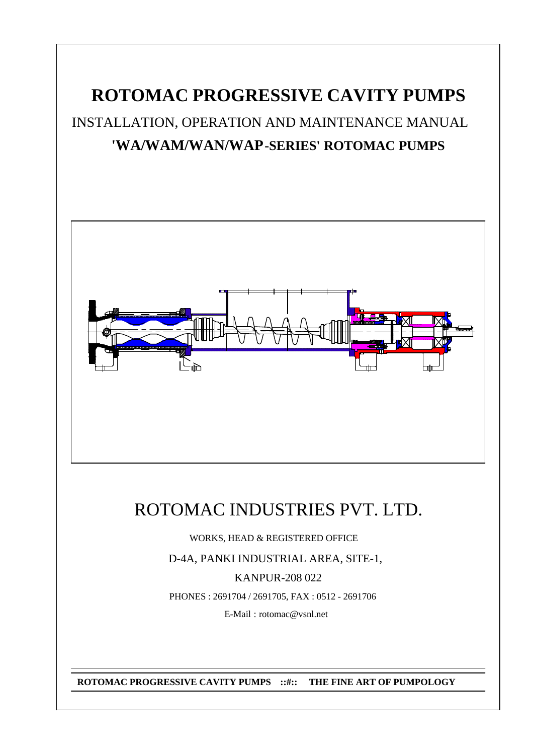# **ROTOMAC PROGRESSIVE CAVITY PUMPS**

INSTALLATION, OPERATION AND MAINTENANCE MANUAL **'WA/WAM/WAN/WAP-SERIES' ROTOMAC PUMPS**



# ROTOMAC INDUSTRIES PVT. LTD.

WORKS, HEAD & REGISTERED OFFICE

D-4A, PANKI INDUSTRIAL AREA, SITE-1,

KANPUR-208 022

PHONES : 2691704 / 2691705, FAX : 0512 - 2691706

E-Mail : rotomac@vsnl.net

**ROTOMAC PROGRESSIVE CAVITY PUMPS ::#:: THE FINE ART OF PUMPOLOGY**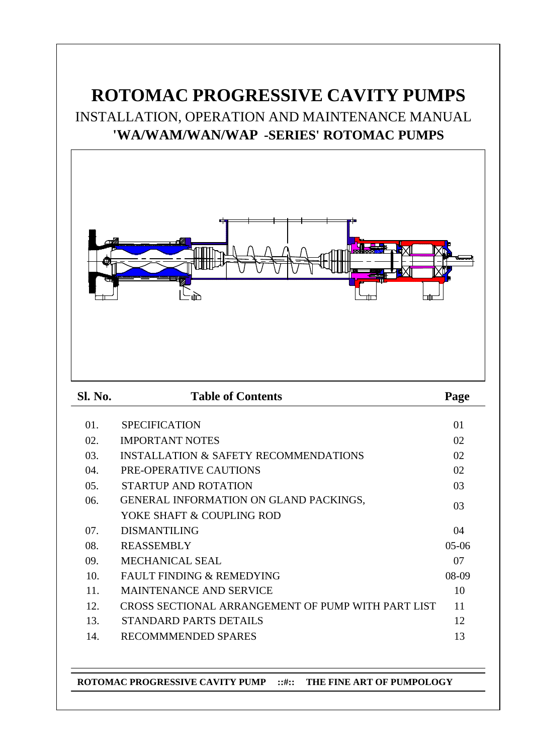# **ROTOMAC PROGRESSIVE CAVITY PUMPS** INSTALLATION, OPERATION AND MAINTENANCE MANUAL **'WA/WAM/WAN/WAP -SERIES' ROTOMAC PUMPS**



**ROTOMAC PROGRESSIVE CAVITY PUMP ::#:: THE FINE ART OF PUMPOLOGY**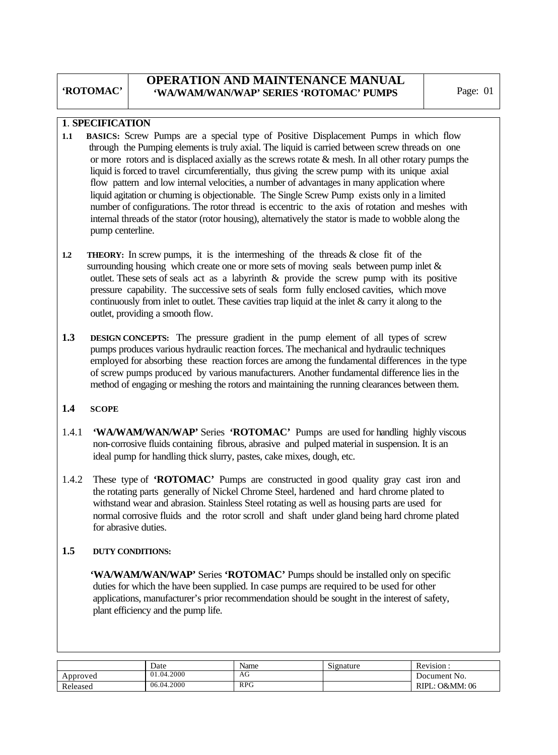### **OPERATION AND MAINTENANCE MANUAL 'WA/WAM/WAN/WAP' SERIES 'ROTOMAC' PUMPS** Page: 01

#### **1**. **SPECIFICATION**

- **1.1 BASICS:** Screw Pumps are a special type of Positive Displacement Pumps in which flow through the Pumping elements is truly axial. The liquid is carried between screw threads on one or more rotors and is displaced axially as the screws rotate & mesh. In all other rotary pumps the liquid is forced to travel circumferentially, thus giving the screw pump with its unique axial flow pattern and low internal velocities, a number of advantages in many application where liquid agitation or churning is objectionable. The Single Screw Pump exists only in a limited number of configurations. The rotor thread is eccentric to the axis of rotation and meshes with internal threads of the stator (rotor housing), alternatively the stator is made to wobble along the pump centerline.
- **1.2 THEORY:** In screw pumps, it is the intermeshing of the threads & close fit of the surrounding housing which create one or more sets of moving seals between pump inlet  $\&$  outlet. These sets of seals act as a labyrinth & provide the screw pump with its positive pressure capability. The successive sets of seals form fully enclosed cavities, which move continuously from inlet to outlet. These cavities trap liquid at the inlet & carry it along to the outlet, providing a smooth flow.
- **1.3 DESIGN CONCEPTS:** The pressure gradient in the pump element of all types of screw pumps produces various hydraulic reaction forces. The mechanical and hydraulic techniques employed for absorbing these reaction forces are among the fundamental differences in the type of screw pumps produced by various manufacturers. Another fundamental difference lies in the method of engaging or meshing the rotors and maintaining the running clearances between them.

#### **1.4 SCOPE**

- 1.4.1 **'WA/WAM/WAN/WAP'** Series **'ROTOMAC'** Pumps are used for handling highly viscous non-corrosive fluids containing fibrous, abrasive and pulped material in suspension. It is an ideal pump for handling thick slurry, pastes, cake mixes, dough, etc.
- 1.4.2 These type of **'ROTOMAC'** Pumps are constructed in good quality gray cast iron and the rotating parts generally of Nickel Chrome Steel, hardened and hard chrome plated to withstand wear and abrasion. Stainless Steel rotating as well as housing parts are used for normal corrosive fluids and the rotor scroll and shaft under gland being hard chrome plated for abrasive duties.

#### **1.5 DUTY CONDITIONS:**

 **'WA/WAM/WAN/WAP'** Series **'ROTOMAC'** Pumps should be installed only on specific duties for which the have been supplied. In case pumps are required to be used for other applications, manufacturer's prior recommendation should be sought in the interest of safety, plant efficiency and the pump life.

|          | Date       | Name       | Signature | $\blacksquare$<br>Revision. |
|----------|------------|------------|-----------|-----------------------------|
| Approved | 01.04.2000 | ΑU         |           | Document No.                |
| Released | 06.04.2000 | <b>RPG</b> |           | O&MM: 06<br>RIPL.           |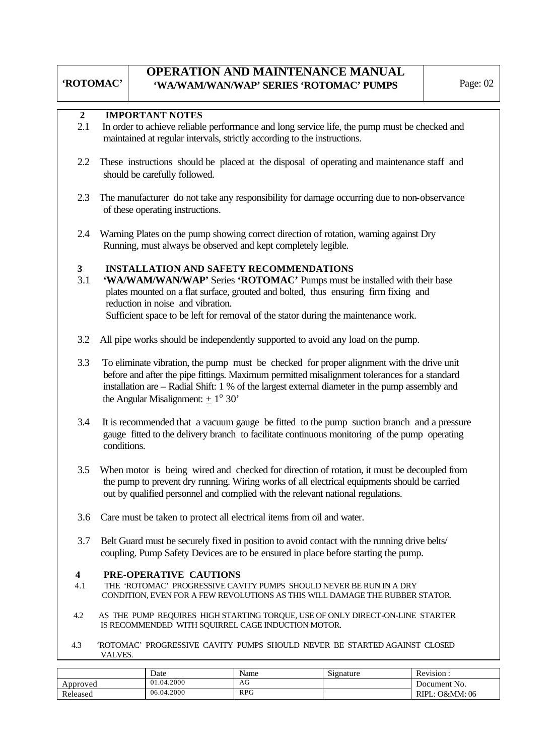# **OPERATION AND MAINTENANCE MANUAL 'WA/WAM/WAN/WAP' SERIES 'ROTOMAC' PUMPS** Page: 02

### **2 IMPORTANT NOTES**

- 2.1 In order to achieve reliable performance and long service life, the pump must be checked and maintained at regular intervals, strictly according to the instructions.
- 2.2 These instructions should be placed at the disposal of operating and maintenance staff and should be carefully followed.
- 2.3 The manufacturer do not take any responsibility for damage occurring due to non-observance of these operating instructions.
- 2.4 Warning Plates on the pump showing correct direction of rotation, warning against Dry Running, must always be observed and kept completely legible.

#### **3 INSTALLATION AND SAFETY RECOMMENDATIONS**

- 3.1 **'WA/WAM/WAN/WAP'** Series **'ROTOMAC'** Pumps must be installed with their base plates mounted on a flat surface, grouted and bolted, thus ensuring firm fixing and reduction in noise and vibration. Sufficient space to be left for removal of the stator during the maintenance work.
- 3.2 All pipe works should be independently supported to avoid any load on the pump.
- 3.3 To eliminate vibration, the pump must be checked for proper alignment with the drive unit before and after the pipe fittings. Maximum permitted misalignment tolerances for a standard installation are – Radial Shift: 1 % of the largest external diameter in the pump assembly and the Angular Misalignment:  $\pm 1^{\circ}$  30'
- 3.4 It is recommended that a vacuum gauge be fitted to the pump suction branch and a pressure gauge fitted to the delivery branch to facilitate continuous monitoring of the pump operating conditions.
- 3.5 When motor is being wired and checked for direction of rotation, it must be decoupled from the pump to prevent dry running. Wiring works of all electrical equipments should be carried out by qualified personnel and complied with the relevant national regulations.
- 3.6 Care must be taken to protect all electrical items from oil and water.
- 3.7 Belt Guard must be securely fixed in position to avoid contact with the running drive belts/ coupling. Pump Safety Devices are to be ensured in place before starting the pump.

# **4 PRE-OPERATIVE CAUTIONS**<br>**4.1** THE 'ROTOMAC' PROGRESSIVE CAN

- THE 'ROTOMAC' PROGRESSIVE CAVITY PUMPS SHOULD NEVER BE RUN IN A DRY CONDITION, EVEN FOR A FEW REVOLUTIONS AS THIS WILL DAMAGE THE RUBBER STATOR.
- 4.2 AS THE PUMP REQUIRES HIGH STARTING TORQUE, USE OF ONLY DIRECT-ON-LINE STARTER IS RECOMMENDED WITH SQUIRREL CAGE INDUCTION MOTOR.
- 4.3 'ROTOMAC' PROGRESSIVE CAVITY PUMPS SHOULD NEVER BE STARTED AGAINST CLOSED VALVES.

|          | Date       | Name       | Signature | Revision :           |
|----------|------------|------------|-----------|----------------------|
| Approved | 01.04.2000 | AG         |           | Document No.         |
| Released | 06.04.2000 | <b>RPG</b> |           | .: O&MM: 06<br>RIPL. |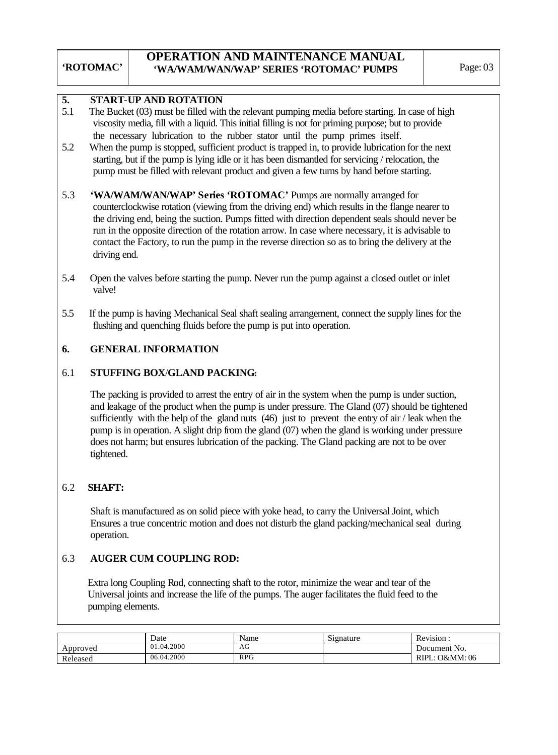#### **5. START**-**UP AND ROTATION**

- 5.1 The Bucket (03) must be filled with the relevant pumping media before starting. In case of high viscosity media, fill with a liquid. This initial filling is not for priming purpose; but to provide the necessary lubrication to the rubber stator until the pump primes itself.
- 5.2 When the pump is stopped, sufficient product is trapped in, to provide lubrication for the next starting, but if the pump is lying idle or it has been dismantled for servicing / relocation, the pump must be filled with relevant product and given a few turns by hand before starting.
- 5.3 **'WA/WAM/WAN/WAP' Series 'ROTOMAC'** Pumps are normally arranged for counterclockwise rotation (viewing from the driving end) which results in the flange nearer to the driving end, being the suction. Pumps fitted with direction dependent seals should never be run in the opposite direction of the rotation arrow. In case where necessary, it is advisable to contact the Factory, to run the pump in the reverse direction so as to bring the delivery at the driving end.
- 5.4 Open the valves before starting the pump. Never run the pump against a closed outlet or inlet valve!
- 5.5 If the pump is having Mechanical Seal shaft sealing arrangement, connect the supply lines for the flushing and quenching fluids before the pump is put into operation.

#### **6. GENERAL INFORMATION**

#### 6.1 **STUFFING BOX**/**GLAND PACKING:**

 The packing is provided to arrest the entry of air in the system when the pump is under suction, and leakage of the product when the pump is under pressure. The Gland (07) should be tightened sufficiently with the help of the gland nuts (46) just to prevent the entry of air / leak when the pump is in operation. A slight drip from the gland (07) when the gland is working under pressure does not harm; but ensures lubrication of the packing. The Gland packing are not to be over tightened.

#### 6.2 **SHAFT:**

 Shaft is manufactured as on solid piece with yoke head, to carry the Universal Joint, which Ensures a true concentric motion and does not disturb the gland packing/mechanical seal during operation.

#### 6.3 **AUGER CUM COUPLING ROD:**

Extra long Coupling Rod, connecting shaft to the rotor, minimize the wear and tear of the Universal joints and increase the life of the pumps. The auger facilitates the fluid feed to the pumping elements.

|          | Date       | Name       | $\sim$<br>Signature | Revision:                 |
|----------|------------|------------|---------------------|---------------------------|
| Approved | 01.04.2000 | ΑU         |                     | Document No.              |
| Released | 06.04.2000 | <b>RPG</b> |                     | <b>RIPL: O&amp;MM: 06</b> |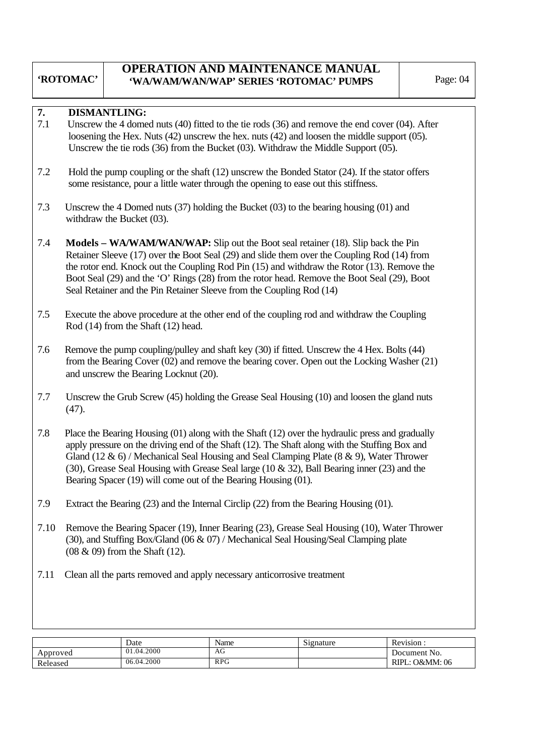### **OPERATION AND MAINTENANCE MANUAL 'WA/WAM/WAN/WAP' SERIES 'ROTOMAC' PUMPS** Page: 04

#### **7. DISMANTLING:**

- 7.1 Unscrew the 4 domed nuts (40) fitted to the tie rods (36) and remove the end cover (04). After loosening the Hex. Nuts (42) unscrew the hex. nuts (42) and loosen the middle support (05). Unscrew the tie rods (36) from the Bucket (03). Withdraw the Middle Support (05).
- 7.2 Hold the pump coupling or the shaft (12) unscrew the Bonded Stator (24). If the stator offers some resistance, pour a little water through the opening to ease out this stiffness.
- 7.3 Unscrew the 4 Domed nuts (37) holding the Bucket (03) to the bearing housing (01) and withdraw the Bucket (03).
- 7.4 **Models WA/WAM/WAN/WAP:** Slip out the Boot seal retainer (18). Slip back the Pin Retainer Sleeve (17) over the Boot Seal (29) and slide them over the Coupling Rod (14) from the rotor end. Knock out the Coupling Rod Pin (15) and withdraw the Rotor (13). Remove the Boot Seal (29) and the 'O' Rings (28) from the rotor head. Remove the Boot Seal (29), Boot Seal Retainer and the Pin Retainer Sleeve from the Coupling Rod (14)
- 7.5 Execute the above procedure at the other end of the coupling rod and withdraw the Coupling Rod (14) from the Shaft (12) head.
- 7.6 Remove the pump coupling/pulley and shaft key (30) if fitted. Unscrew the 4 Hex. Bolts (44) from the Bearing Cover (02) and remove the bearing cover. Open out the Locking Washer (21) and unscrew the Bearing Locknut (20).
- 7.7 Unscrew the Grub Screw (45) holding the Grease Seal Housing (10) and loosen the gland nuts (47).
- 7.8 Place the Bearing Housing (01) along with the Shaft (12) over the hydraulic press and gradually apply pressure on the driving end of the Shaft (12). The Shaft along with the Stuffing Box and Gland (12 & 6) / Mechanical Seal Housing and Seal Clamping Plate (8 & 9), Water Thrower (30), Grease Seal Housing with Grease Seal large (10 & 32), Ball Bearing inner (23) and the Bearing Spacer (19) will come out of the Bearing Housing (01).
- 7.9 Extract the Bearing (23) and the Internal Circlip (22) from the Bearing Housing (01).
- 7.10 Remove the Bearing Spacer (19), Inner Bearing (23), Grease Seal Housing (10), Water Thrower (30), and Stuffing Box/Gland (06 & 07) / Mechanical Seal Housing/Seal Clamping plate (08 & 09) from the Shaft (12).
- 7.11 Clean all the parts removed and apply necessary anticorrosive treatment

|          | Date       | Name       | Signature | Revision.                     |
|----------|------------|------------|-----------|-------------------------------|
| Approved | 01.04.2000 | AU         |           | Document No.                  |
| Released | 06.04.2000 | <b>RPG</b> |           | <b>O&amp;MM</b> : 06<br>RIPL: |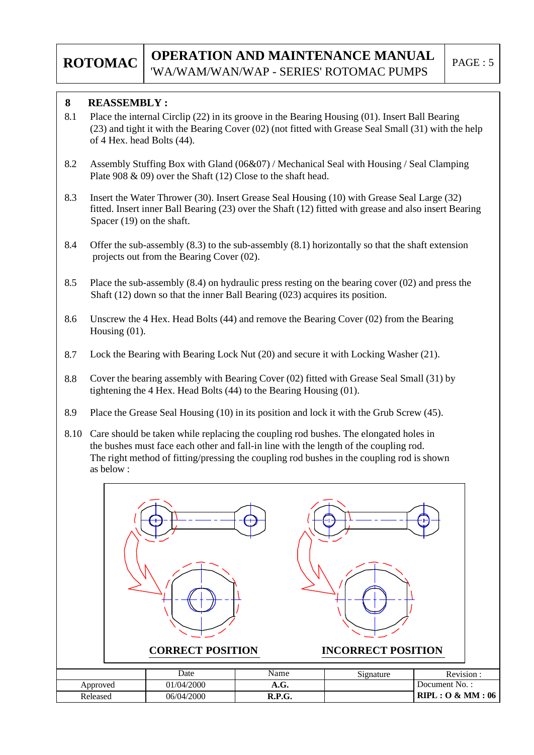#### **8 REASSEMBLY :**

- 8.1 Place the internal Circlip (22) in its groove in the Bearing Housing (01). Insert Ball Bearing (23) and tight it with the Bearing Cover (02) (not fitted with Grease Seal Small (31) with the help of 4 Hex. head Bolts (44).
- 8.2 Assembly Stuffing Box with Gland (06&07) / Mechanical Seal with Housing / Seal Clamping Plate 908 & 09) over the Shaft (12) Close to the shaft head.
- 8.3 Insert the Water Thrower (30). Insert Grease Seal Housing (10) with Grease Seal Large (32) fitted. Insert inner Ball Bearing (23) over the Shaft (12) fitted with grease and also insert Bearing Spacer (19) on the shaft.
- 8.4 Offer the sub-assembly (8.3) to the sub-assembly (8.1) horizontally so that the shaft extension projects out from the Bearing Cover (02).
- 8.5 Place the sub-assembly (8.4) on hydraulic press resting on the bearing cover (02) and press the Shaft (12) down so that the inner Ball Bearing (023) acquires its position.
- 8.6 Unscrew the 4 Hex. Head Bolts (44) and remove the Bearing Cover (02) from the Bearing Housing (01).
- 8.7 Lock the Bearing with Bearing Lock Nut (20) and secure it with Locking Washer (21).
- 8.8 Cover the bearing assembly with Bearing Cover (02) fitted with Grease Seal Small (31) by tightening the 4 Hex. Head Bolts (44) to the Bearing Housing (01).
- 8.9 Place the Grease Seal Housing (10) in its position and lock it with the Grub Screw (45).
- 8.10 Care should be taken while replacing the coupling rod bushes. The elongated holes in the bushes must face each other and fall-in line with the length of the coupling rod. The right method of fitting/pressing the coupling rod bushes in the coupling rod is shown as below :

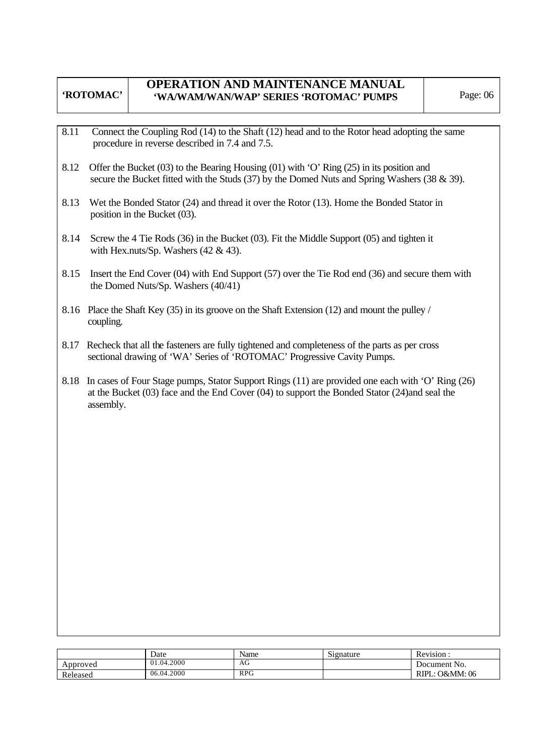# **OPERATION AND MAINTENANCE MANUAL 'WA/WAM/WAN/WAP' SERIES 'ROTOMAC' PUMPS** Page: 06

- 8.11 Connect the Coupling Rod (14) to the Shaft (12) head and to the Rotor head adopting the same procedure in reverse described in 7.4 and 7.5.
- 8.12 Offer the Bucket (03) to the Bearing Housing (01) with 'O' Ring (25) in its position and secure the Bucket fitted with the Studs (37) by the Domed Nuts and Spring Washers (38 & 39).
- 8.13 Wet the Bonded Stator (24) and thread it over the Rotor (13). Home the Bonded Stator in position in the Bucket (03).
- 8.14 Screw the 4 Tie Rods (36) in the Bucket (03). Fit the Middle Support (05) and tighten it with Hex.nuts/Sp. Washers (42 & 43).
- 8.15 Insert the End Cover (04) with End Support (57) over the Tie Rod end (36) and secure them with the Domed Nuts/Sp. Washers (40/41)
- 8.16 Place the Shaft Key (35) in its groove on the Shaft Extension (12) and mount the pulley / coupling.
- 8.17 Recheck that all the fasteners are fully tightened and completeness of the parts as per cross sectional drawing of 'WA' Series of 'ROTOMAC' Progressive Cavity Pumps.
- 8.18 In cases of Four Stage pumps, Stator Support Rings (11) are provided one each with 'O' Ring (26) at the Bucket (03) face and the End Cover (04) to support the Bonded Stator (24)and seal the assembly.

|          | Date                 | Name       | Signature | Revision.               |
|----------|----------------------|------------|-----------|-------------------------|
| Approved | .04.2000<br>$\Omega$ | AG         |           | Document No.            |
| Released | 06.04.2000           | <b>RPG</b> |           | O&MM: 06<br><b>RIPL</b> |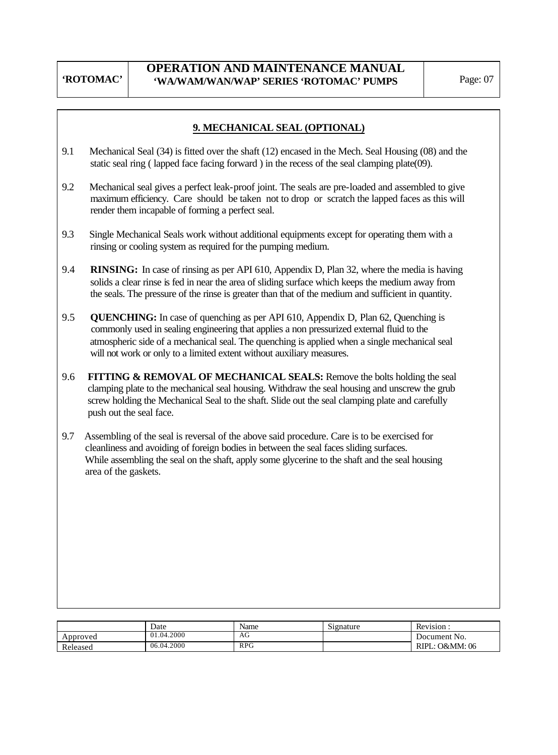### **9. MECHANICAL SEAL (OPTIONAL)**

- 9.1 Mechanical Seal (34) is fitted over the shaft (12) encased in the Mech. Seal Housing (08) and the static seal ring ( lapped face facing forward ) in the recess of the seal clamping plate(09).
- 9.2 Mechanical seal gives a perfect leak-proof joint. The seals are pre-loaded and assembled to give maximum efficiency. Care should be taken not to drop or scratch the lapped faces as this will render them incapable of forming a perfect seal.
- 9.3 Single Mechanical Seals work without additional equipments except for operating them with a rinsing or cooling system as required for the pumping medium.
- 9.4 **RINSING:** In case of rinsing as per API 610, Appendix D, Plan 32, where the media is having solids a clear rinse is fed in near the area of sliding surface which keeps the medium away from the seals. The pressure of the rinse is greater than that of the medium and sufficient in quantity.
- 9.5 **QUENCHING:** In case of quenching as per API 610, Appendix D, Plan 62, Quenching is commonly used in sealing engineering that applies a non pressurized external fluid to the atmospheric side of a mechanical seal. The quenching is applied when a single mechanical seal will not work or only to a limited extent without auxiliary measures.
- 9.6 **FITTING & REMOVAL OF MECHANICAL SEALS:** Remove the bolts holding the seal clamping plate to the mechanical seal housing. Withdraw the seal housing and unscrew the grub screw holding the Mechanical Seal to the shaft. Slide out the seal clamping plate and carefully push out the seal face.
- 9.7 Assembling of the seal is reversal of the above said procedure. Care is to be exercised for cleanliness and avoiding of foreign bodies in between the seal faces sliding surfaces. While assembling the seal on the shaft, apply some glycerine to the shaft and the seal housing area of the gaskets.

|          | Date       | Name       | Signature | Revision.         |
|----------|------------|------------|-----------|-------------------|
| Approved | 01.04.2000 | AG         |           | Document No.      |
| Released | 06.04.2000 | <b>RPG</b> |           | O&MM: 06<br>RIPL: |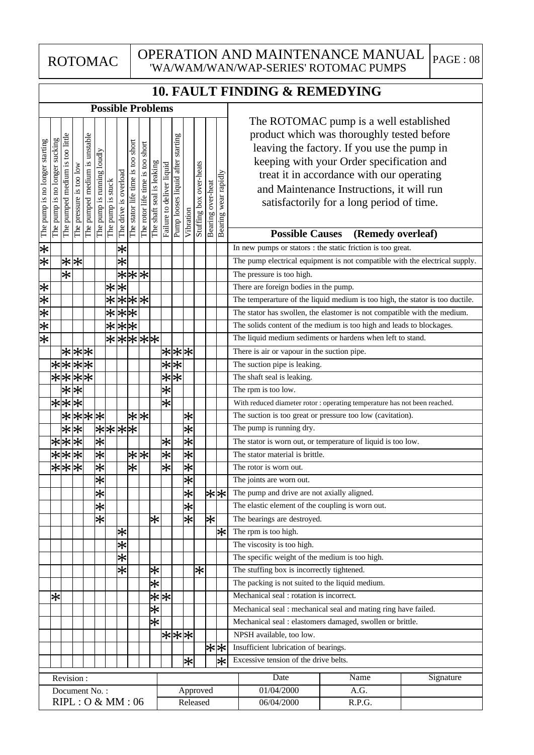OPERATION AND MAINTENANCE MANUAL  $P_{\text{AGE 108}}$ 'WA/WAM/WAN/WAP-SERIES' ROTOMAC PUMPS

# **10. FAULT FINDING & REMEDYING**

| The ROTOMAC pump is a well established<br>product which was thoroughly tested before<br>The pumped medium is too little<br>The pumped medium is unstable<br>Pump looses liquid after starting<br>The pump is no longer sucking<br>The pump is no longer starting<br>The stator life time is too short<br>The rotor life time is too short<br>leaving the factory. If you use the pump in<br>The pump is running loudly<br>keeping with your Order specification and<br>The shaft seal is leaking<br>Stuffing box over-heats<br>Failure to deliver liquid<br>The pressure is too low<br>The drive is overload<br>Bearing wear rapidly<br>treat it in accordance with our operating<br>The pump is stuck<br>Bearing over-heat<br>and Maintenance Instructions, it will run<br>satisfactorily for a long period of time.<br>Vibration<br><b>Possible Causes</b><br>(Remedy overleaf)<br>$ \varkappa $<br>$\ast$<br>In new pumps or stators : the static friction is too great.<br>$ \varkappa $<br>$\overline{\ast}$<br>$\overline{**}$<br>The pump electrical equipment is not compatible with the electrical supply.<br>$\overline{\ast}$<br>$\overline{\ast}$<br> * *<br>The pressure is too high.<br>⋇<br>$\ast$<br>$\ast$<br>There are foreign bodies in the pump.<br>$ \varkappa \varkappa $<br>$\overline{\ast}$<br>***<br>The temperarture of the liquid medium is too high, the stator is too ductile.<br>$\overline{**}$<br>$\overline{\ast}$<br>The stator has swollen, the elastomer is not compatible with the medium.<br>$ \varkappa $<br>$\frac{1}{2}$<br>$\big \divideontimes$<br>The solids content of the medium is too high and leads to blockages.<br>$\overline{**}$ $\overline{**}$ $\overline{**}$<br>The liquid medium sediments or hardens when left to stand.<br>$*$ $*$<br>***<br>There is air or vapour in the suction pipe.<br>$\left \mathbb{X}\right \mathbb{X}$<br>$\bigstar$<br>$\overline{\ast}$<br>$\ast$<br>The suction pipe is leaking.<br>****<br>$\overline{\ast}$<br>$\overline{\ast}$<br>The shaft seal is leaking.<br>$\overline{**}$<br>$\overline{\ast}$<br>The rpm is too low.<br>$\overline{\ast}$<br>$\overline{\ast}$<br>$\overline{**}$<br>With reduced diameter rotor : operating temperature has not been reached.<br> * * * <br>$\ast$<br>$ \mathcal{K} $<br>The suction is too great or pressure too low (cavitation).<br>$\ast$<br>****<br>Ӿ<br>$\overline{\ast}$<br>$\overline{\ast}$<br>The pump is running dry.<br>$\overline{\ast}$<br>$\overline{**}$<br>$\overline{\ast}$<br>$\ast$<br>The stator is worn out, or temperature of liquid is too low.<br>$***$<br>$\bigstar$<br>$\overline{\ast}$<br>$\overline{\ast}$<br>$\overline{*}$<br>The stator material is brittle.<br>$\overline{**}$<br>$\overline{\ast}$<br>$\overline{\ast}$<br>$\overline{\ast}$<br>$\overline{\ast}$<br>The rotor is worn out.<br>$\overline{\ast}$<br>$\overline{\ast}$<br>The joints are worn out.<br>$\ast$<br>$\ast$<br>∗∣∗<br>The pump and drive are not axially aligned.<br>$\overline{\ast}$<br>∗<br>The elastic element of the coupling is worn out.<br>$\ast$<br>*<br>$\overline{\ast}$<br>$\bigstar$<br>The bearings are destroyed.<br>$\ast$<br>$\left \ast\right $<br>The rpm is too high.<br>$\overline{\ast}$<br>The viscosity is too high.<br>$\overline{\ast}$<br>The specific weight of the medium is too high.<br>$\overline{\ast}$<br>$\ast$<br>*<br>The stuffing box is incorrectly tightened.<br>$\bigstar$<br>The packing is not suited to the liquid medium.<br>$\overline{ \mathbf{x} }$<br>Mechanical seal : rotation is incorrect.<br>$\ast$<br>$\overline{\ast}$<br>Mechanical seal : mechanical seal and mating ring have failed.<br>孓<br>Mechanical seal : elastomers damaged, swollen or brittle.<br>* * * <br>NPSH available, too low.<br>∗∤∗<br>Insufficient lubrication of bearings.<br>Excessive tension of the drive belts.<br>$\ast$<br>$\ast$<br>Date<br>Name<br>Signature<br>Revision:<br>01/04/2000<br>A.G.<br>Approved<br>Document No.:<br>RIPL: O & MM: 06<br>Released |                      |  |  |  |  | <b>Possible Problems</b> |  |  |  |                      |  |  |
|------------------------------------------------------------------------------------------------------------------------------------------------------------------------------------------------------------------------------------------------------------------------------------------------------------------------------------------------------------------------------------------------------------------------------------------------------------------------------------------------------------------------------------------------------------------------------------------------------------------------------------------------------------------------------------------------------------------------------------------------------------------------------------------------------------------------------------------------------------------------------------------------------------------------------------------------------------------------------------------------------------------------------------------------------------------------------------------------------------------------------------------------------------------------------------------------------------------------------------------------------------------------------------------------------------------------------------------------------------------------------------------------------------------------------------------------------------------------------------------------------------------------------------------------------------------------------------------------------------------------------------------------------------------------------------------------------------------------------------------------------------------------------------------------------------------------------------------------------------------------------------------------------------------------------------------------------------------------------------------------------------------------------------------------------------------------------------------------------------------------------------------------------------------------------------------------------------------------------------------------------------------------------------------------------------------------------------------------------------------------------------------------------------------------------------------------------------------------------------------------------------------------------------------------------------------------------------------------------------------------------------------------------------------------------------------------------------------------------------------------------------------------------------------------------------------------------------------------------------------------------------------------------------------------------------------------------------------------------------------------------------------------------------------------------------------------------------------------------------------------------------------------------------------------------------------------------------------------------------------------------------------------------------------------------------------------------------------------------------------------------------------------------------------------------------------------------------------------------------------------------------------------------------------------------------------------------------------------------------------------------------------------------------------------------------------------------------------------------------------------------------------------------------------------------------------------------------------------------------------------------------------------------------------------------------------------------------------------------------------------------------------------------------------------------|----------------------|--|--|--|--|--------------------------|--|--|--|----------------------|--|--|
|                                                                                                                                                                                                                                                                                                                                                                                                                                                                                                                                                                                                                                                                                                                                                                                                                                                                                                                                                                                                                                                                                                                                                                                                                                                                                                                                                                                                                                                                                                                                                                                                                                                                                                                                                                                                                                                                                                                                                                                                                                                                                                                                                                                                                                                                                                                                                                                                                                                                                                                                                                                                                                                                                                                                                                                                                                                                                                                                                                                                                                                                                                                                                                                                                                                                                                                                                                                                                                                                                                                                                                                                                                                                                                                                                                                                                                                                                                                                                                                                                                                      |                      |  |  |  |  |                          |  |  |  |                      |  |  |
|                                                                                                                                                                                                                                                                                                                                                                                                                                                                                                                                                                                                                                                                                                                                                                                                                                                                                                                                                                                                                                                                                                                                                                                                                                                                                                                                                                                                                                                                                                                                                                                                                                                                                                                                                                                                                                                                                                                                                                                                                                                                                                                                                                                                                                                                                                                                                                                                                                                                                                                                                                                                                                                                                                                                                                                                                                                                                                                                                                                                                                                                                                                                                                                                                                                                                                                                                                                                                                                                                                                                                                                                                                                                                                                                                                                                                                                                                                                                                                                                                                                      |                      |  |  |  |  |                          |  |  |  |                      |  |  |
|                                                                                                                                                                                                                                                                                                                                                                                                                                                                                                                                                                                                                                                                                                                                                                                                                                                                                                                                                                                                                                                                                                                                                                                                                                                                                                                                                                                                                                                                                                                                                                                                                                                                                                                                                                                                                                                                                                                                                                                                                                                                                                                                                                                                                                                                                                                                                                                                                                                                                                                                                                                                                                                                                                                                                                                                                                                                                                                                                                                                                                                                                                                                                                                                                                                                                                                                                                                                                                                                                                                                                                                                                                                                                                                                                                                                                                                                                                                                                                                                                                                      |                      |  |  |  |  |                          |  |  |  |                      |  |  |
|                                                                                                                                                                                                                                                                                                                                                                                                                                                                                                                                                                                                                                                                                                                                                                                                                                                                                                                                                                                                                                                                                                                                                                                                                                                                                                                                                                                                                                                                                                                                                                                                                                                                                                                                                                                                                                                                                                                                                                                                                                                                                                                                                                                                                                                                                                                                                                                                                                                                                                                                                                                                                                                                                                                                                                                                                                                                                                                                                                                                                                                                                                                                                                                                                                                                                                                                                                                                                                                                                                                                                                                                                                                                                                                                                                                                                                                                                                                                                                                                                                                      |                      |  |  |  |  |                          |  |  |  |                      |  |  |
|                                                                                                                                                                                                                                                                                                                                                                                                                                                                                                                                                                                                                                                                                                                                                                                                                                                                                                                                                                                                                                                                                                                                                                                                                                                                                                                                                                                                                                                                                                                                                                                                                                                                                                                                                                                                                                                                                                                                                                                                                                                                                                                                                                                                                                                                                                                                                                                                                                                                                                                                                                                                                                                                                                                                                                                                                                                                                                                                                                                                                                                                                                                                                                                                                                                                                                                                                                                                                                                                                                                                                                                                                                                                                                                                                                                                                                                                                                                                                                                                                                                      |                      |  |  |  |  |                          |  |  |  |                      |  |  |
|                                                                                                                                                                                                                                                                                                                                                                                                                                                                                                                                                                                                                                                                                                                                                                                                                                                                                                                                                                                                                                                                                                                                                                                                                                                                                                                                                                                                                                                                                                                                                                                                                                                                                                                                                                                                                                                                                                                                                                                                                                                                                                                                                                                                                                                                                                                                                                                                                                                                                                                                                                                                                                                                                                                                                                                                                                                                                                                                                                                                                                                                                                                                                                                                                                                                                                                                                                                                                                                                                                                                                                                                                                                                                                                                                                                                                                                                                                                                                                                                                                                      |                      |  |  |  |  |                          |  |  |  |                      |  |  |
|                                                                                                                                                                                                                                                                                                                                                                                                                                                                                                                                                                                                                                                                                                                                                                                                                                                                                                                                                                                                                                                                                                                                                                                                                                                                                                                                                                                                                                                                                                                                                                                                                                                                                                                                                                                                                                                                                                                                                                                                                                                                                                                                                                                                                                                                                                                                                                                                                                                                                                                                                                                                                                                                                                                                                                                                                                                                                                                                                                                                                                                                                                                                                                                                                                                                                                                                                                                                                                                                                                                                                                                                                                                                                                                                                                                                                                                                                                                                                                                                                                                      |                      |  |  |  |  |                          |  |  |  |                      |  |  |
|                                                                                                                                                                                                                                                                                                                                                                                                                                                                                                                                                                                                                                                                                                                                                                                                                                                                                                                                                                                                                                                                                                                                                                                                                                                                                                                                                                                                                                                                                                                                                                                                                                                                                                                                                                                                                                                                                                                                                                                                                                                                                                                                                                                                                                                                                                                                                                                                                                                                                                                                                                                                                                                                                                                                                                                                                                                                                                                                                                                                                                                                                                                                                                                                                                                                                                                                                                                                                                                                                                                                                                                                                                                                                                                                                                                                                                                                                                                                                                                                                                                      |                      |  |  |  |  |                          |  |  |  |                      |  |  |
|                                                                                                                                                                                                                                                                                                                                                                                                                                                                                                                                                                                                                                                                                                                                                                                                                                                                                                                                                                                                                                                                                                                                                                                                                                                                                                                                                                                                                                                                                                                                                                                                                                                                                                                                                                                                                                                                                                                                                                                                                                                                                                                                                                                                                                                                                                                                                                                                                                                                                                                                                                                                                                                                                                                                                                                                                                                                                                                                                                                                                                                                                                                                                                                                                                                                                                                                                                                                                                                                                                                                                                                                                                                                                                                                                                                                                                                                                                                                                                                                                                                      | $\left \star\right $ |  |  |  |  |                          |  |  |  |                      |  |  |
|                                                                                                                                                                                                                                                                                                                                                                                                                                                                                                                                                                                                                                                                                                                                                                                                                                                                                                                                                                                                                                                                                                                                                                                                                                                                                                                                                                                                                                                                                                                                                                                                                                                                                                                                                                                                                                                                                                                                                                                                                                                                                                                                                                                                                                                                                                                                                                                                                                                                                                                                                                                                                                                                                                                                                                                                                                                                                                                                                                                                                                                                                                                                                                                                                                                                                                                                                                                                                                                                                                                                                                                                                                                                                                                                                                                                                                                                                                                                                                                                                                                      |                      |  |  |  |  |                          |  |  |  |                      |  |  |
|                                                                                                                                                                                                                                                                                                                                                                                                                                                                                                                                                                                                                                                                                                                                                                                                                                                                                                                                                                                                                                                                                                                                                                                                                                                                                                                                                                                                                                                                                                                                                                                                                                                                                                                                                                                                                                                                                                                                                                                                                                                                                                                                                                                                                                                                                                                                                                                                                                                                                                                                                                                                                                                                                                                                                                                                                                                                                                                                                                                                                                                                                                                                                                                                                                                                                                                                                                                                                                                                                                                                                                                                                                                                                                                                                                                                                                                                                                                                                                                                                                                      |                      |  |  |  |  |                          |  |  |  |                      |  |  |
|                                                                                                                                                                                                                                                                                                                                                                                                                                                                                                                                                                                                                                                                                                                                                                                                                                                                                                                                                                                                                                                                                                                                                                                                                                                                                                                                                                                                                                                                                                                                                                                                                                                                                                                                                                                                                                                                                                                                                                                                                                                                                                                                                                                                                                                                                                                                                                                                                                                                                                                                                                                                                                                                                                                                                                                                                                                                                                                                                                                                                                                                                                                                                                                                                                                                                                                                                                                                                                                                                                                                                                                                                                                                                                                                                                                                                                                                                                                                                                                                                                                      |                      |  |  |  |  |                          |  |  |  |                      |  |  |
|                                                                                                                                                                                                                                                                                                                                                                                                                                                                                                                                                                                                                                                                                                                                                                                                                                                                                                                                                                                                                                                                                                                                                                                                                                                                                                                                                                                                                                                                                                                                                                                                                                                                                                                                                                                                                                                                                                                                                                                                                                                                                                                                                                                                                                                                                                                                                                                                                                                                                                                                                                                                                                                                                                                                                                                                                                                                                                                                                                                                                                                                                                                                                                                                                                                                                                                                                                                                                                                                                                                                                                                                                                                                                                                                                                                                                                                                                                                                                                                                                                                      |                      |  |  |  |  |                          |  |  |  |                      |  |  |
|                                                                                                                                                                                                                                                                                                                                                                                                                                                                                                                                                                                                                                                                                                                                                                                                                                                                                                                                                                                                                                                                                                                                                                                                                                                                                                                                                                                                                                                                                                                                                                                                                                                                                                                                                                                                                                                                                                                                                                                                                                                                                                                                                                                                                                                                                                                                                                                                                                                                                                                                                                                                                                                                                                                                                                                                                                                                                                                                                                                                                                                                                                                                                                                                                                                                                                                                                                                                                                                                                                                                                                                                                                                                                                                                                                                                                                                                                                                                                                                                                                                      |                      |  |  |  |  |                          |  |  |  |                      |  |  |
|                                                                                                                                                                                                                                                                                                                                                                                                                                                                                                                                                                                                                                                                                                                                                                                                                                                                                                                                                                                                                                                                                                                                                                                                                                                                                                                                                                                                                                                                                                                                                                                                                                                                                                                                                                                                                                                                                                                                                                                                                                                                                                                                                                                                                                                                                                                                                                                                                                                                                                                                                                                                                                                                                                                                                                                                                                                                                                                                                                                                                                                                                                                                                                                                                                                                                                                                                                                                                                                                                                                                                                                                                                                                                                                                                                                                                                                                                                                                                                                                                                                      |                      |  |  |  |  |                          |  |  |  |                      |  |  |
|                                                                                                                                                                                                                                                                                                                                                                                                                                                                                                                                                                                                                                                                                                                                                                                                                                                                                                                                                                                                                                                                                                                                                                                                                                                                                                                                                                                                                                                                                                                                                                                                                                                                                                                                                                                                                                                                                                                                                                                                                                                                                                                                                                                                                                                                                                                                                                                                                                                                                                                                                                                                                                                                                                                                                                                                                                                                                                                                                                                                                                                                                                                                                                                                                                                                                                                                                                                                                                                                                                                                                                                                                                                                                                                                                                                                                                                                                                                                                                                                                                                      |                      |  |  |  |  |                          |  |  |  |                      |  |  |
|                                                                                                                                                                                                                                                                                                                                                                                                                                                                                                                                                                                                                                                                                                                                                                                                                                                                                                                                                                                                                                                                                                                                                                                                                                                                                                                                                                                                                                                                                                                                                                                                                                                                                                                                                                                                                                                                                                                                                                                                                                                                                                                                                                                                                                                                                                                                                                                                                                                                                                                                                                                                                                                                                                                                                                                                                                                                                                                                                                                                                                                                                                                                                                                                                                                                                                                                                                                                                                                                                                                                                                                                                                                                                                                                                                                                                                                                                                                                                                                                                                                      |                      |  |  |  |  |                          |  |  |  |                      |  |  |
|                                                                                                                                                                                                                                                                                                                                                                                                                                                                                                                                                                                                                                                                                                                                                                                                                                                                                                                                                                                                                                                                                                                                                                                                                                                                                                                                                                                                                                                                                                                                                                                                                                                                                                                                                                                                                                                                                                                                                                                                                                                                                                                                                                                                                                                                                                                                                                                                                                                                                                                                                                                                                                                                                                                                                                                                                                                                                                                                                                                                                                                                                                                                                                                                                                                                                                                                                                                                                                                                                                                                                                                                                                                                                                                                                                                                                                                                                                                                                                                                                                                      |                      |  |  |  |  |                          |  |  |  |                      |  |  |
|                                                                                                                                                                                                                                                                                                                                                                                                                                                                                                                                                                                                                                                                                                                                                                                                                                                                                                                                                                                                                                                                                                                                                                                                                                                                                                                                                                                                                                                                                                                                                                                                                                                                                                                                                                                                                                                                                                                                                                                                                                                                                                                                                                                                                                                                                                                                                                                                                                                                                                                                                                                                                                                                                                                                                                                                                                                                                                                                                                                                                                                                                                                                                                                                                                                                                                                                                                                                                                                                                                                                                                                                                                                                                                                                                                                                                                                                                                                                                                                                                                                      |                      |  |  |  |  |                          |  |  |  |                      |  |  |
|                                                                                                                                                                                                                                                                                                                                                                                                                                                                                                                                                                                                                                                                                                                                                                                                                                                                                                                                                                                                                                                                                                                                                                                                                                                                                                                                                                                                                                                                                                                                                                                                                                                                                                                                                                                                                                                                                                                                                                                                                                                                                                                                                                                                                                                                                                                                                                                                                                                                                                                                                                                                                                                                                                                                                                                                                                                                                                                                                                                                                                                                                                                                                                                                                                                                                                                                                                                                                                                                                                                                                                                                                                                                                                                                                                                                                                                                                                                                                                                                                                                      |                      |  |  |  |  |                          |  |  |  |                      |  |  |
|                                                                                                                                                                                                                                                                                                                                                                                                                                                                                                                                                                                                                                                                                                                                                                                                                                                                                                                                                                                                                                                                                                                                                                                                                                                                                                                                                                                                                                                                                                                                                                                                                                                                                                                                                                                                                                                                                                                                                                                                                                                                                                                                                                                                                                                                                                                                                                                                                                                                                                                                                                                                                                                                                                                                                                                                                                                                                                                                                                                                                                                                                                                                                                                                                                                                                                                                                                                                                                                                                                                                                                                                                                                                                                                                                                                                                                                                                                                                                                                                                                                      |                      |  |  |  |  |                          |  |  |  |                      |  |  |
|                                                                                                                                                                                                                                                                                                                                                                                                                                                                                                                                                                                                                                                                                                                                                                                                                                                                                                                                                                                                                                                                                                                                                                                                                                                                                                                                                                                                                                                                                                                                                                                                                                                                                                                                                                                                                                                                                                                                                                                                                                                                                                                                                                                                                                                                                                                                                                                                                                                                                                                                                                                                                                                                                                                                                                                                                                                                                                                                                                                                                                                                                                                                                                                                                                                                                                                                                                                                                                                                                                                                                                                                                                                                                                                                                                                                                                                                                                                                                                                                                                                      |                      |  |  |  |  |                          |  |  |  |                      |  |  |
|                                                                                                                                                                                                                                                                                                                                                                                                                                                                                                                                                                                                                                                                                                                                                                                                                                                                                                                                                                                                                                                                                                                                                                                                                                                                                                                                                                                                                                                                                                                                                                                                                                                                                                                                                                                                                                                                                                                                                                                                                                                                                                                                                                                                                                                                                                                                                                                                                                                                                                                                                                                                                                                                                                                                                                                                                                                                                                                                                                                                                                                                                                                                                                                                                                                                                                                                                                                                                                                                                                                                                                                                                                                                                                                                                                                                                                                                                                                                                                                                                                                      |                      |  |  |  |  |                          |  |  |  |                      |  |  |
|                                                                                                                                                                                                                                                                                                                                                                                                                                                                                                                                                                                                                                                                                                                                                                                                                                                                                                                                                                                                                                                                                                                                                                                                                                                                                                                                                                                                                                                                                                                                                                                                                                                                                                                                                                                                                                                                                                                                                                                                                                                                                                                                                                                                                                                                                                                                                                                                                                                                                                                                                                                                                                                                                                                                                                                                                                                                                                                                                                                                                                                                                                                                                                                                                                                                                                                                                                                                                                                                                                                                                                                                                                                                                                                                                                                                                                                                                                                                                                                                                                                      |                      |  |  |  |  |                          |  |  |  |                      |  |  |
|                                                                                                                                                                                                                                                                                                                                                                                                                                                                                                                                                                                                                                                                                                                                                                                                                                                                                                                                                                                                                                                                                                                                                                                                                                                                                                                                                                                                                                                                                                                                                                                                                                                                                                                                                                                                                                                                                                                                                                                                                                                                                                                                                                                                                                                                                                                                                                                                                                                                                                                                                                                                                                                                                                                                                                                                                                                                                                                                                                                                                                                                                                                                                                                                                                                                                                                                                                                                                                                                                                                                                                                                                                                                                                                                                                                                                                                                                                                                                                                                                                                      |                      |  |  |  |  |                          |  |  |  |                      |  |  |
|                                                                                                                                                                                                                                                                                                                                                                                                                                                                                                                                                                                                                                                                                                                                                                                                                                                                                                                                                                                                                                                                                                                                                                                                                                                                                                                                                                                                                                                                                                                                                                                                                                                                                                                                                                                                                                                                                                                                                                                                                                                                                                                                                                                                                                                                                                                                                                                                                                                                                                                                                                                                                                                                                                                                                                                                                                                                                                                                                                                                                                                                                                                                                                                                                                                                                                                                                                                                                                                                                                                                                                                                                                                                                                                                                                                                                                                                                                                                                                                                                                                      |                      |  |  |  |  |                          |  |  |  |                      |  |  |
|                                                                                                                                                                                                                                                                                                                                                                                                                                                                                                                                                                                                                                                                                                                                                                                                                                                                                                                                                                                                                                                                                                                                                                                                                                                                                                                                                                                                                                                                                                                                                                                                                                                                                                                                                                                                                                                                                                                                                                                                                                                                                                                                                                                                                                                                                                                                                                                                                                                                                                                                                                                                                                                                                                                                                                                                                                                                                                                                                                                                                                                                                                                                                                                                                                                                                                                                                                                                                                                                                                                                                                                                                                                                                                                                                                                                                                                                                                                                                                                                                                                      |                      |  |  |  |  |                          |  |  |  |                      |  |  |
|                                                                                                                                                                                                                                                                                                                                                                                                                                                                                                                                                                                                                                                                                                                                                                                                                                                                                                                                                                                                                                                                                                                                                                                                                                                                                                                                                                                                                                                                                                                                                                                                                                                                                                                                                                                                                                                                                                                                                                                                                                                                                                                                                                                                                                                                                                                                                                                                                                                                                                                                                                                                                                                                                                                                                                                                                                                                                                                                                                                                                                                                                                                                                                                                                                                                                                                                                                                                                                                                                                                                                                                                                                                                                                                                                                                                                                                                                                                                                                                                                                                      |                      |  |  |  |  |                          |  |  |  |                      |  |  |
|                                                                                                                                                                                                                                                                                                                                                                                                                                                                                                                                                                                                                                                                                                                                                                                                                                                                                                                                                                                                                                                                                                                                                                                                                                                                                                                                                                                                                                                                                                                                                                                                                                                                                                                                                                                                                                                                                                                                                                                                                                                                                                                                                                                                                                                                                                                                                                                                                                                                                                                                                                                                                                                                                                                                                                                                                                                                                                                                                                                                                                                                                                                                                                                                                                                                                                                                                                                                                                                                                                                                                                                                                                                                                                                                                                                                                                                                                                                                                                                                                                                      |                      |  |  |  |  |                          |  |  |  |                      |  |  |
|                                                                                                                                                                                                                                                                                                                                                                                                                                                                                                                                                                                                                                                                                                                                                                                                                                                                                                                                                                                                                                                                                                                                                                                                                                                                                                                                                                                                                                                                                                                                                                                                                                                                                                                                                                                                                                                                                                                                                                                                                                                                                                                                                                                                                                                                                                                                                                                                                                                                                                                                                                                                                                                                                                                                                                                                                                                                                                                                                                                                                                                                                                                                                                                                                                                                                                                                                                                                                                                                                                                                                                                                                                                                                                                                                                                                                                                                                                                                                                                                                                                      |                      |  |  |  |  |                          |  |  |  |                      |  |  |
|                                                                                                                                                                                                                                                                                                                                                                                                                                                                                                                                                                                                                                                                                                                                                                                                                                                                                                                                                                                                                                                                                                                                                                                                                                                                                                                                                                                                                                                                                                                                                                                                                                                                                                                                                                                                                                                                                                                                                                                                                                                                                                                                                                                                                                                                                                                                                                                                                                                                                                                                                                                                                                                                                                                                                                                                                                                                                                                                                                                                                                                                                                                                                                                                                                                                                                                                                                                                                                                                                                                                                                                                                                                                                                                                                                                                                                                                                                                                                                                                                                                      |                      |  |  |  |  |                          |  |  |  |                      |  |  |
|                                                                                                                                                                                                                                                                                                                                                                                                                                                                                                                                                                                                                                                                                                                                                                                                                                                                                                                                                                                                                                                                                                                                                                                                                                                                                                                                                                                                                                                                                                                                                                                                                                                                                                                                                                                                                                                                                                                                                                                                                                                                                                                                                                                                                                                                                                                                                                                                                                                                                                                                                                                                                                                                                                                                                                                                                                                                                                                                                                                                                                                                                                                                                                                                                                                                                                                                                                                                                                                                                                                                                                                                                                                                                                                                                                                                                                                                                                                                                                                                                                                      |                      |  |  |  |  |                          |  |  |  |                      |  |  |
|                                                                                                                                                                                                                                                                                                                                                                                                                                                                                                                                                                                                                                                                                                                                                                                                                                                                                                                                                                                                                                                                                                                                                                                                                                                                                                                                                                                                                                                                                                                                                                                                                                                                                                                                                                                                                                                                                                                                                                                                                                                                                                                                                                                                                                                                                                                                                                                                                                                                                                                                                                                                                                                                                                                                                                                                                                                                                                                                                                                                                                                                                                                                                                                                                                                                                                                                                                                                                                                                                                                                                                                                                                                                                                                                                                                                                                                                                                                                                                                                                                                      |                      |  |  |  |  |                          |  |  |  |                      |  |  |
|                                                                                                                                                                                                                                                                                                                                                                                                                                                                                                                                                                                                                                                                                                                                                                                                                                                                                                                                                                                                                                                                                                                                                                                                                                                                                                                                                                                                                                                                                                                                                                                                                                                                                                                                                                                                                                                                                                                                                                                                                                                                                                                                                                                                                                                                                                                                                                                                                                                                                                                                                                                                                                                                                                                                                                                                                                                                                                                                                                                                                                                                                                                                                                                                                                                                                                                                                                                                                                                                                                                                                                                                                                                                                                                                                                                                                                                                                                                                                                                                                                                      |                      |  |  |  |  |                          |  |  |  |                      |  |  |
|                                                                                                                                                                                                                                                                                                                                                                                                                                                                                                                                                                                                                                                                                                                                                                                                                                                                                                                                                                                                                                                                                                                                                                                                                                                                                                                                                                                                                                                                                                                                                                                                                                                                                                                                                                                                                                                                                                                                                                                                                                                                                                                                                                                                                                                                                                                                                                                                                                                                                                                                                                                                                                                                                                                                                                                                                                                                                                                                                                                                                                                                                                                                                                                                                                                                                                                                                                                                                                                                                                                                                                                                                                                                                                                                                                                                                                                                                                                                                                                                                                                      |                      |  |  |  |  |                          |  |  |  |                      |  |  |
|                                                                                                                                                                                                                                                                                                                                                                                                                                                                                                                                                                                                                                                                                                                                                                                                                                                                                                                                                                                                                                                                                                                                                                                                                                                                                                                                                                                                                                                                                                                                                                                                                                                                                                                                                                                                                                                                                                                                                                                                                                                                                                                                                                                                                                                                                                                                                                                                                                                                                                                                                                                                                                                                                                                                                                                                                                                                                                                                                                                                                                                                                                                                                                                                                                                                                                                                                                                                                                                                                                                                                                                                                                                                                                                                                                                                                                                                                                                                                                                                                                                      |                      |  |  |  |  |                          |  |  |  | 06/04/2000<br>R.P.G. |  |  |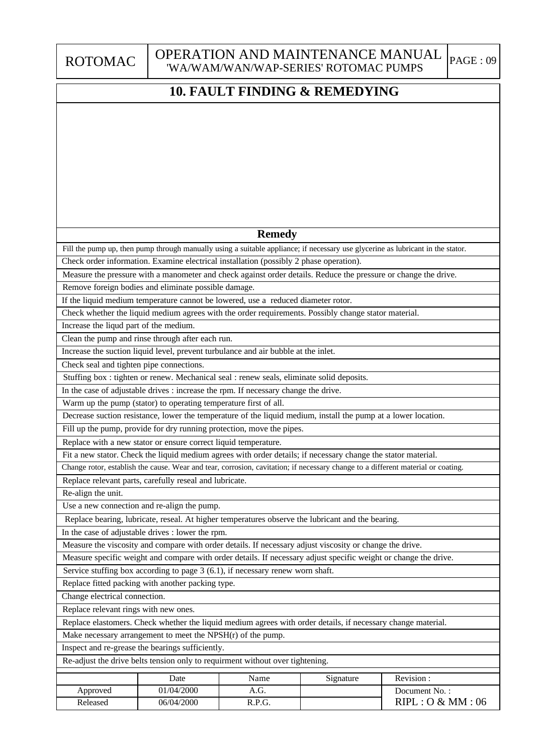### OPERATION AND MAINTENANCE MANUAL 'WA/WAM/WAN/WAP-SERIES' ROTOMAC PUMPS

|                                          |                                                                                                                  | WARY WAR DERIED ROTOMACT      |           |                                                                                                                                  |
|------------------------------------------|------------------------------------------------------------------------------------------------------------------|-------------------------------|-----------|----------------------------------------------------------------------------------------------------------------------------------|
|                                          |                                                                                                                  | 10. FAULT FINDING & REMEDYING |           |                                                                                                                                  |
|                                          |                                                                                                                  |                               |           |                                                                                                                                  |
|                                          |                                                                                                                  |                               |           |                                                                                                                                  |
|                                          |                                                                                                                  |                               |           |                                                                                                                                  |
|                                          |                                                                                                                  |                               |           |                                                                                                                                  |
|                                          |                                                                                                                  |                               |           |                                                                                                                                  |
|                                          |                                                                                                                  |                               |           |                                                                                                                                  |
|                                          |                                                                                                                  |                               |           |                                                                                                                                  |
|                                          |                                                                                                                  |                               |           |                                                                                                                                  |
|                                          |                                                                                                                  |                               |           |                                                                                                                                  |
|                                          |                                                                                                                  | <b>Remedy</b>                 |           |                                                                                                                                  |
|                                          |                                                                                                                  |                               |           | Fill the pump up, then pump through manually using a suitable appliance; if necessary use glycerine as lubricant in the stator.  |
|                                          | Check order information. Examine electrical installation (possibly 2 phase operation).                           |                               |           |                                                                                                                                  |
|                                          | Measure the pressure with a manometer and check against order details. Reduce the pressure or change the drive.  |                               |           |                                                                                                                                  |
|                                          | Remove foreign bodies and eliminate possible damage.                                                             |                               |           |                                                                                                                                  |
|                                          | If the liquid medium temperature cannot be lowered, use a reduced diameter rotor.                                |                               |           |                                                                                                                                  |
|                                          | Check whether the liquid medium agrees with the order requirements. Possibly change stator material.             |                               |           |                                                                                                                                  |
| Increase the liqud part of the medium.   |                                                                                                                  |                               |           |                                                                                                                                  |
|                                          | Clean the pump and rinse through after each run.                                                                 |                               |           |                                                                                                                                  |
|                                          | Increase the suction liquid level, prevent turbulance and air bubble at the inlet.                               |                               |           |                                                                                                                                  |
| Check seal and tighten pipe connections. |                                                                                                                  |                               |           |                                                                                                                                  |
|                                          | Stuffing box : tighten or renew. Mechanical seal : renew seals, eliminate solid deposits.                        |                               |           |                                                                                                                                  |
|                                          | In the case of adjustable drives : increase the rpm. If necessary change the drive.                              |                               |           |                                                                                                                                  |
|                                          | Warm up the pump (stator) to operating temperature first of all.                                                 |                               |           |                                                                                                                                  |
|                                          | Decrease suction resistance, lower the temperature of the liquid medium, install the pump at a lower location.   |                               |           |                                                                                                                                  |
|                                          | Fill up the pump, provide for dry running protection, move the pipes.                                            |                               |           |                                                                                                                                  |
|                                          | Replace with a new stator or ensure correct liquid temperature.                                                  |                               |           |                                                                                                                                  |
|                                          | Fit a new stator. Check the liquid medium agrees with order details; if necessary change the stator material.    |                               |           |                                                                                                                                  |
|                                          |                                                                                                                  |                               |           | Change rotor, establish the cause. Wear and tear, corrosion, cavitation; if necessary change to a different material or coating. |
| Re-align the unit.                       | Replace relevant parts, carefully reseal and lubricate.                                                          |                               |           |                                                                                                                                  |
|                                          | Use a new connection and re-align the pump.                                                                      |                               |           |                                                                                                                                  |
|                                          | Replace bearing, lubricate, reseal. At higher temperatures observe the lubricant and the bearing.                |                               |           |                                                                                                                                  |
|                                          | In the case of adjustable drives : lower the rpm.                                                                |                               |           |                                                                                                                                  |
|                                          | Measure the viscosity and compare with order details. If necessary adjust viscosity or change the drive.         |                               |           |                                                                                                                                  |
|                                          | Measure specific weight and compare with order details. If necessary adjust specific weight or change the drive. |                               |           |                                                                                                                                  |
|                                          | Service stuffing box according to page 3 (6.1), if necessary renew worn shaft.                                   |                               |           |                                                                                                                                  |
|                                          | Replace fitted packing with another packing type.                                                                |                               |           |                                                                                                                                  |
| Change electrical connection.            |                                                                                                                  |                               |           |                                                                                                                                  |
| Replace relevant rings with new ones.    |                                                                                                                  |                               |           |                                                                                                                                  |
|                                          | Replace elastomers. Check whether the liquid medium agrees with order details, if necessary change material.     |                               |           |                                                                                                                                  |
|                                          | Make necessary arrangement to meet the $NPSH(r)$ of the pump.                                                    |                               |           |                                                                                                                                  |
|                                          | Inspect and re-grease the bearings sufficiently.                                                                 |                               |           |                                                                                                                                  |
|                                          | Re-adjust the drive belts tension only to requirment without over tightening.                                    |                               |           |                                                                                                                                  |
|                                          | Date                                                                                                             | Name                          | Signature | Revision:                                                                                                                        |
| Approved                                 | 01/04/2000                                                                                                       | A.G.                          |           | Document No.:                                                                                                                    |
| Released                                 | 06/04/2000                                                                                                       | R.P.G.                        |           | RIPL: O & MM: 06                                                                                                                 |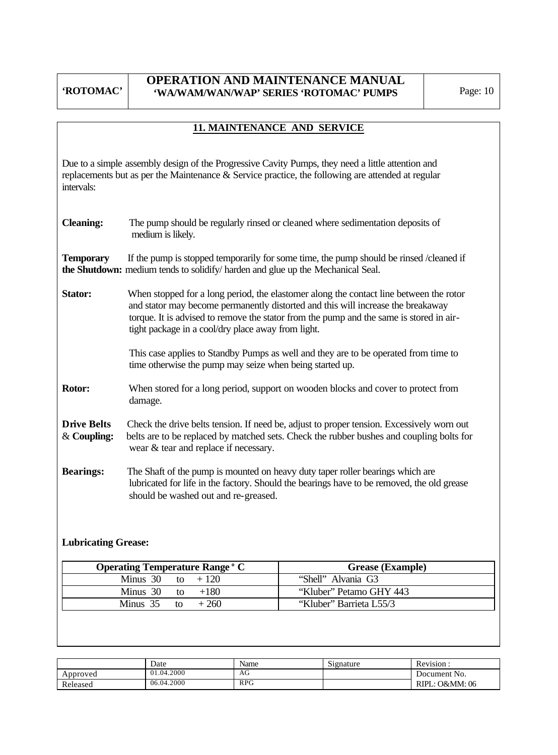### **OPERATION AND MAINTENANCE MANUAL 'WA/WAM/WAN/WAP' SERIES 'ROTOMAC' PUMPS** Page: 10

# **11. MAINTENANCE AND SERVICE**

Due to a simple assembly design of the Progressive Cavity Pumps, they need a little attention and replacements but as per the Maintenance & Service practice, the following are attended at regular intervals:

| <b>Cleaning:</b> | The pump should be regularly rinsed or cleaned where sedimentation deposits of<br>medium is likely.                                                                                                                                                                                                                         |
|------------------|-----------------------------------------------------------------------------------------------------------------------------------------------------------------------------------------------------------------------------------------------------------------------------------------------------------------------------|
| <b>Temporary</b> | If the pump is stopped temporarily for some time, the pump should be rinsed /cleaned if<br><b>the Shutdown:</b> medium tends to solidify/harden and glue up the Mechanical Seal.                                                                                                                                            |
| <b>Stator:</b>   | When stopped for a long period, the elastomer along the contact line between the rotor<br>and stator may become permanently distorted and this will increase the breakaway<br>torque. It is advised to remove the stator from the pump and the same is stored in air-<br>tight package in a cool/dry place away from light. |
|                  | This case applies to Standby Pumps as well and they are to be operated from time to<br>time otherwise the pump may seize when being started up.                                                                                                                                                                             |

- **Rotor:** When stored for a long period, support on wooden blocks and cover to protect from damage.
- **Drive Belts** Check the drive belts tension. If need be, adjust to proper tension. Excessively worn out & **Coupling:** belts are to be replaced by matched sets. Check the rubber bushes and coupling bolts for wear & tear and replace if necessary.
- **Bearings:** The Shaft of the pump is mounted on heavy duty taper roller bearings which are lubricated for life in the factory. Should the bearings have to be removed, the old grease should be washed out and re-greased.

#### **Lubricating Grease:**

| <b>Operating Temperature Range ° C</b> | <b>Grease (Example)</b> |
|----------------------------------------|-------------------------|
| Minus 30 to $+120$                     | "Shell" Alvania G3      |
| Minus 30 to $+180$                     | "Kluber" Petamo GHY 443 |
| $+260$<br>Minus 35 to                  | "Kluber" Barrieta L55/3 |

|          | Date       | Name       | Signature | Revision:                     |
|----------|------------|------------|-----------|-------------------------------|
| Approved | 01.04.2000 | AU         |           | Document No.                  |
| Released | 06.04.2000 | <b>RPG</b> |           | <b>O&amp;MM</b> : 06<br>RIPL. |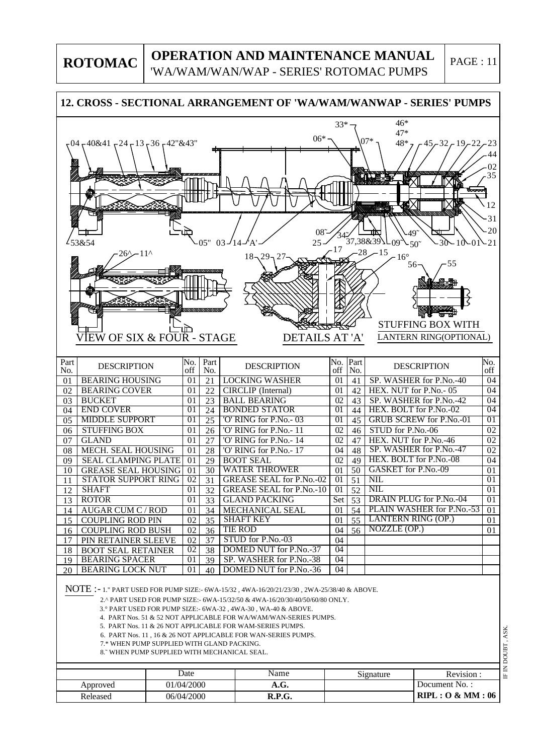# **OPERATION AND MAINTENANCE MANUAL**

'WA/WAM/WAN/WAP - SERIES' ROTOMAC PUMPS

PAGE : 11

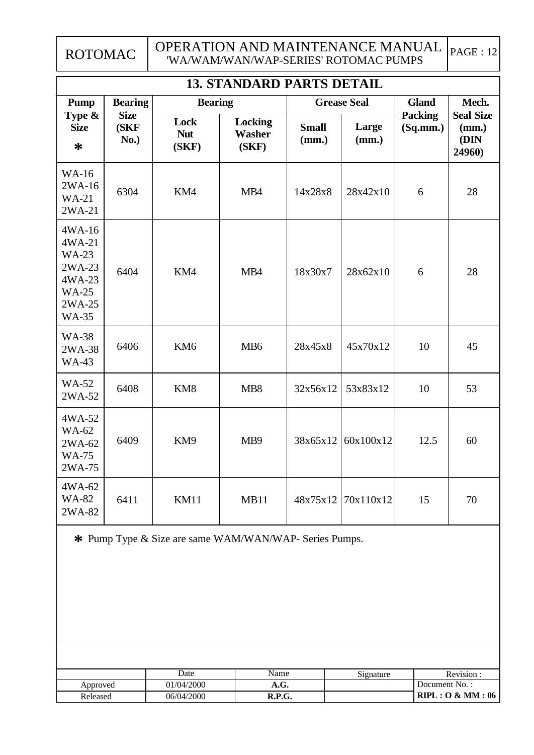#### OPERATION AND MAINTENANCE MANUAL 'WA/WAM/WAN/WAP-SERIES' ROTOMAC PUMPS  $|PAGE : 12|$

| <b>13. STANDARD PARTS DETAIL</b>                                                               |                             |                             |                                   |                       |                    |                            |                                             |  |  |  |  |  |
|------------------------------------------------------------------------------------------------|-----------------------------|-----------------------------|-----------------------------------|-----------------------|--------------------|----------------------------|---------------------------------------------|--|--|--|--|--|
| <b>Pump</b>                                                                                    | <b>Bearing</b>              | <b>Bearing</b>              |                                   |                       | <b>Grease Seal</b> | <b>Gland</b>               | Mech.                                       |  |  |  |  |  |
| Type &<br><b>Size</b><br>$\ast$                                                                | <b>Size</b><br>(SKF<br>No.) | Lock<br><b>Nut</b><br>(SKF) | <b>Locking</b><br>Washer<br>(SKF) | <b>Small</b><br>(mm.) | Large<br>(mm.)     | <b>Packing</b><br>(Sq.mm.) | <b>Seal Size</b><br>(mm.)<br>(DIN<br>24960) |  |  |  |  |  |
| <b>WA-16</b><br>2WA-16<br>$WA-21$<br>2WA-21                                                    | 6304                        | KM4                         | MB4                               | 14x28x8               | 28x42x10           | 6                          | 28                                          |  |  |  |  |  |
| 4WA-16<br>4WA-21<br><b>WA-23</b><br>2WA-23<br>4WA-23<br><b>WA-25</b><br>2WA-25<br><b>WA-35</b> | 6404                        | KM4                         | MB4                               | 18x30x7               | 28x62x10           | 6                          | 28                                          |  |  |  |  |  |
| <b>WA-38</b><br>2WA-38<br><b>WA-43</b>                                                         | 6406                        | KM <sub>6</sub>             | MB <sub>6</sub>                   | 28x45x8               | 45x70x12           | 10                         | 45                                          |  |  |  |  |  |
| <b>WA-52</b><br>2WA-52                                                                         | 6408                        | KM8                         | MB <sub>8</sub>                   | 32x56x12              | 53x83x12           | 10                         | 53                                          |  |  |  |  |  |
| 4WA-52<br><b>WA-62</b><br>2WA-62<br><b>WA-75</b><br>2WA-75                                     | 6409                        | KM9                         | MB <sub>9</sub>                   | 38x65x12              | 60x100x12          | 12.5                       | 60                                          |  |  |  |  |  |
| 4WA-62<br><b>WA-82</b><br>2WA-82                                                               | 6411                        | <b>KM11</b>                 | MB11                              | 48x75x12              | 70x110x12          | 15                         | 70                                          |  |  |  |  |  |

**\*** Pump Type & Size are same WAM/WAN/WAP- Series Pumps.

|          | Date       | Name   | Signature | Revision         |
|----------|------------|--------|-----------|------------------|
| Approved | 01/04/2000 | A.G.   |           | Document No.:    |
| Released | 06/04/2000 | R.P.G. |           | RIPL: O & MM: 06 |